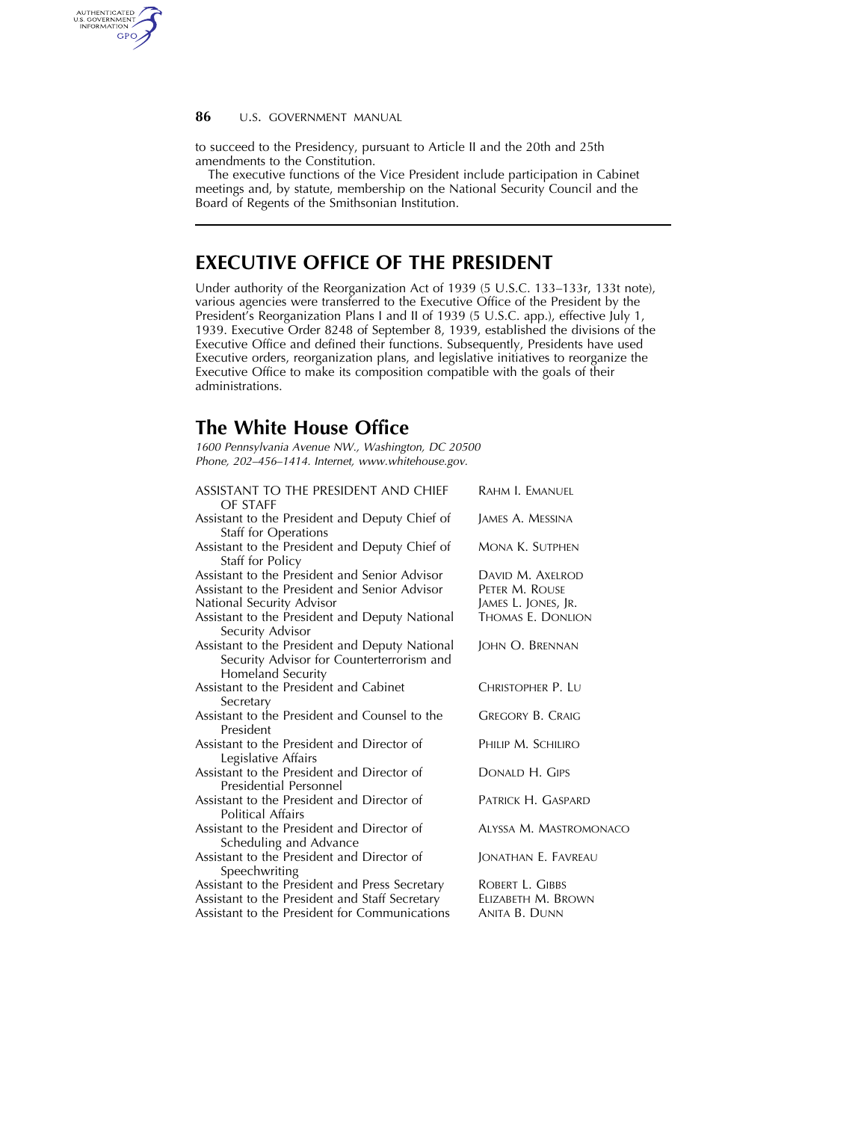## **86** U.S. GOVERNMENT MANUAL

AUTHENTICATED<br>U.S. GOVERNMENT<br>INFORMATION **GPO** 

> to succeed to the Presidency, pursuant to Article II and the 20th and 25th amendments to the Constitution.

The executive functions of the Vice President include participation in Cabinet meetings and, by statute, membership on the National Security Council and the Board of Regents of the Smithsonian Institution.

## **EXECUTIVE OFFICE OF THE PRESIDENT**

Under authority of the Reorganization Act of 1939 (5 U.S.C. 133–133r, 133t note), various agencies were transferred to the Executive Office of the President by the President's Reorganization Plans I and II of 1939 (5 U.S.C. app.), effective July 1, 1939. Executive Order 8248 of September 8, 1939, established the divisions of the Executive Office and defined their functions. Subsequently, Presidents have used Executive orders, reorganization plans, and legislative initiatives to reorganize the Executive Office to make its composition compatible with the goals of their administrations.

## **The White House Office**

*1600 Pennsylvania Avenue NW., Washington, DC 20500 Phone, 202–456–1414. Internet, www.whitehouse.gov.* 

| ASSISTANT TO THE PRESIDENT AND CHIEF<br>OF STAFF                                                                 | RAHM I. EMANUEL               |
|------------------------------------------------------------------------------------------------------------------|-------------------------------|
| Assistant to the President and Deputy Chief of<br>Staff for Operations                                           | James A. Messina              |
| Assistant to the President and Deputy Chief of<br>Staff for Policy                                               | Mona K. Sutphen               |
| Assistant to the President and Senior Advisor                                                                    | DAVID M. AXELROD              |
| Assistant to the President and Senior Advisor                                                                    | PETER M. ROUSE                |
| National Security Advisor                                                                                        | James L. Jones, Jr.           |
| Assistant to the President and Deputy National<br>Security Advisor                                               | Thomas E. Donlion             |
| Assistant to the President and Deputy National<br>Security Advisor for Counterterrorism and<br>Homeland Security | JOHN O. BRENNAN               |
| Assistant to the President and Cabinet<br>Secretary                                                              | Christopher P. Lu             |
| Assistant to the President and Counsel to the<br>President                                                       | <b>GREGORY B. CRAIG</b>       |
| Assistant to the President and Director of<br>Legislative Affairs                                                | PHILIP M. SCHILIRO            |
| Assistant to the President and Director of<br>Presidential Personnel                                             | DONALD H. GIPS                |
| Assistant to the President and Director of<br>Political Affairs                                                  | PATRICK H. GASPARD            |
| Assistant to the President and Director of<br>Scheduling and Advance                                             | <b>ALYSSA M. MASTROMONACO</b> |
| Assistant to the President and Director of<br>Speechwriting                                                      | JONATHAN E. FAVREAU           |
| Assistant to the President and Press Secretary                                                                   | ROBERT L. GIBBS               |
| Assistant to the President and Staff Secretary                                                                   | ELIZABETH M. BROWN            |
| Assistant to the President for Communications                                                                    | ANITA B. DUNN                 |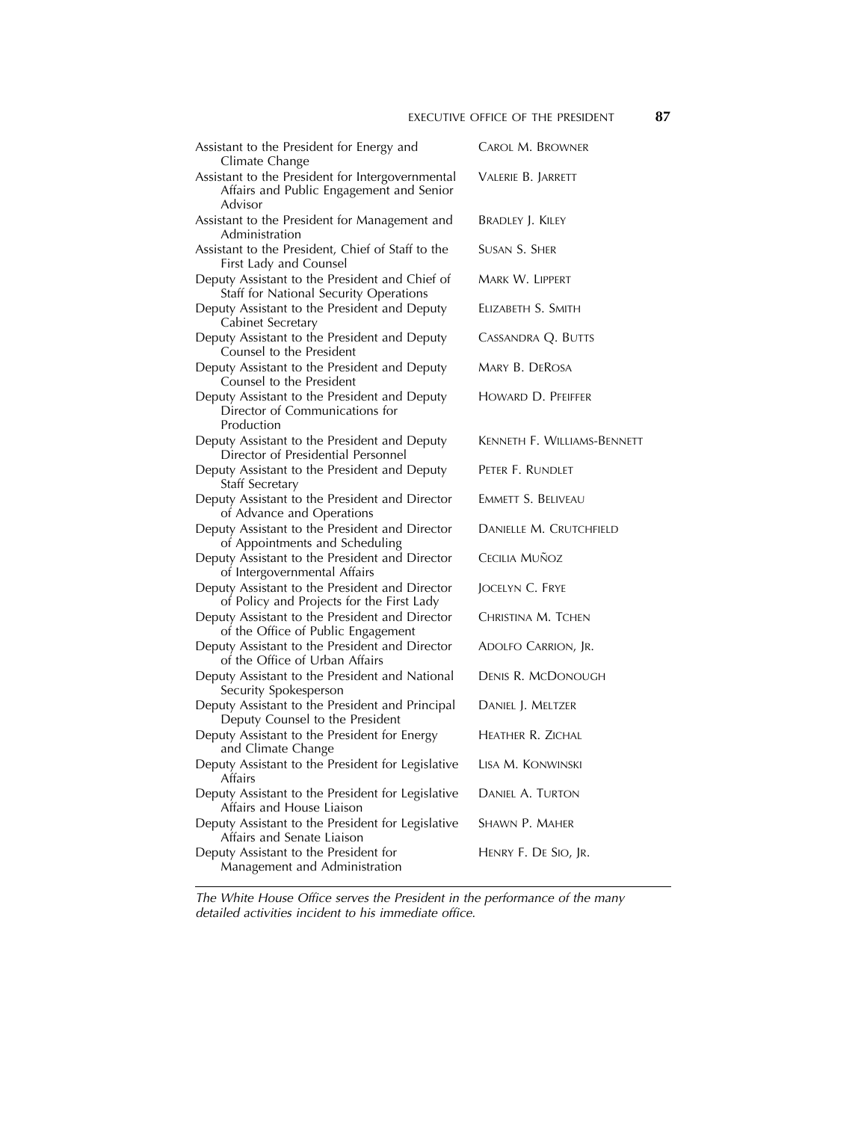| Assistant to the President for Energy and<br>Climate Change                                                                                                          | Carol M. Browner            |
|----------------------------------------------------------------------------------------------------------------------------------------------------------------------|-----------------------------|
| Assistant to the President for Intergovernmental<br>Affairs and Public Engagement and Senior<br>Advisor                                                              | VALERIE B. JARRETT          |
| Assistant to the President for Management and<br>Administration                                                                                                      | BRADLEY J. KILEY            |
| Assistant to the President, Chief of Staff to the<br>First Lady and Counsel                                                                                          | Susan S. Sher               |
| Deputy Assistant to the President and Chief of<br>Staff for National Security Operations                                                                             | Mark W. Lippert             |
| Deputy Assistant to the President and Deputy<br>Cabinet Secretary                                                                                                    | ELIZABETH S. SMITH          |
| Deputy Assistant to the President and Deputy<br>Counsel to the President                                                                                             | CASSANDRA Q. BUTTS          |
| Deputy Assistant to the President and Deputy<br>Counsel to the President                                                                                             | MARY B. DEROSA              |
| Deputy Assistant to the President and Deputy<br>Director of Communications for<br>Production                                                                         | HOWARD D. PFEIFFER          |
| Deputy Assistant to the President and Deputy<br>Director of Presidential Personnel                                                                                   | Kenneth F. Williams-Bennett |
| Deputy Assistant to the President and Deputy                                                                                                                         | Peter F. Rundlet            |
| Deputy Assistant to the President and Director<br>of Advance and Operations                                                                                          | EMMETT S. BELIVEAU          |
| Deputy Assistant to the President and Director                                                                                                                       | DANIELLE M. CRUTCHFIELD     |
| Deputy Assistant to the President and Director                                                                                                                       | CECILIA MUÑOZ               |
| Deputy Assistant to the President and Director                                                                                                                       | JOCELYN C. FRYE             |
| Deputy Assistant to the President and Director                                                                                                                       | Christina M. TCHEN          |
| Deputy Assistant to the President and Director<br>of the Office of Urban Affairs                                                                                     | Adolfo Carrion, Jr.         |
| Deputy Assistant to the President and National<br>Security Spokesperson                                                                                              | <b>DENIS R. MCDONOUGH</b>   |
| Deputy Assistant to the President and Principal<br>Deputy Counsel to the President                                                                                   | DANIEL J. MELTZER           |
| Deputy Assistant to the President for Energy<br>and Climate Change                                                                                                   | HEATHER R. ZICHAL           |
| Deputy Assistant to the President for Legislative<br>Affairs                                                                                                         | Lisa M. Konwinski           |
| Deputy Assistant to the President for Legislative<br>Affairs and House Liaison                                                                                       | DANIEL A. TURTON            |
| Deputy Assistant to the President for Legislative<br>Affairs and Senate Liaison                                                                                      | SHAWN P. MAHER              |
| Deputy Assistant to the President for<br>Management and Administration                                                                                               | HENRY F. DE SIO, JR.        |
| Staff Secretary<br>of Appointments and Scheduling<br>of Intergovernmental Affairs<br>of Policy and Projects for the First Lady<br>of the Office of Public Engagement |                             |

*The White House Office serves the President in the performance of the many detailed activities incident to his immediate office.*